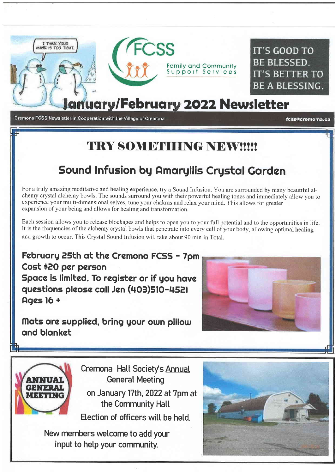

Cremona FCSS Newsletter in Cooperation with the Village of Cremona

fcss@cremoma.ca

## TRY SOMETHING NEWWW

## Sound Infusion by Amaryllis Crystal Garden

For a truly amazing meditative and healing experience, try a Sound Infusion. You are surrounded by many beautiful alchemy crystal alchemy bowls. The sounds surround you with their powerful healing tones and immediately allow you to experience your multi-dimensional selves, tune your chakras and relax your mind. This allows for greater expansion of your being and allows for healing and transformation.

Each session allows you to release blockages and helps to open you to your full potential and to the opportunities in life. It is the frequencies of the alchemy crystal bowls that penetrate into every cell of your body, allowing optimal healing and growth to occur. This Crystal Sound Infusion will take about 90 min in Total.

February 25th at the Cremona FCSS - 7pm Cost \$20 per person Space is limited. To register or if you have questions please call Jen (403)510-4521 **Ages 16 +** 

### Mats are supplied, bring your own pillow and blanket



Cremona Hall Society's Annual **General Meeting** 

on January 17th, 2022 at 7pm at the Community Hall Election of officers will be held.

New members welcome to add your input to help your community.

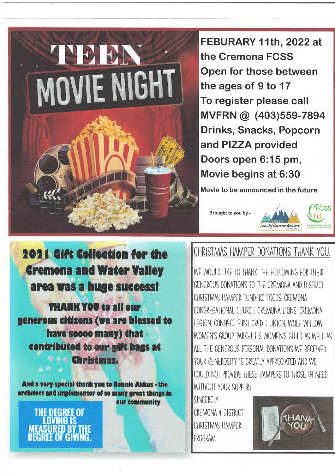

FEBURARY 11th, 2022 at the Cremona FCSS Open for those between the ages of 9 to 17 To register please call MVFRN @ (403)559-7894 **Drinks, Snacks, Popcorn** and PIZZA provided Doors open 6:15 pm, Movie begins at 6:30

Movie to be announced in the future

Brought to you by -



ECSS

**2021 Gift Collection for the Cremona and Water Valley** area was a huge success!

**THANK YOU to all our** generous citizens (we are blessed to have soooo many) that contributed to our gift bags at **Christmas.** 

And a very special thank you to Bonnie Akkus - the architect and implementor of so many great things in our community

**THE DEGREE OF NING IS MEASURED BY** DEGREE OF GIVING.

## CHRISTMAS HAMPER DONATIONS THANK YOU.

WE WOULD LIKE TO THANK THE FOLLOWING FOR THEIR GENEROUS DONATIONS TO THE CREMONA AND DISTRICT CHRISTMAS HAMPER FUND: KC FOODS CREMONA CONGREGATIONAL CHURCH, CREMONA LIONS, CREMONA LEGION, CONNECT FIRST CREDIT UNION WOLF WILLOW WOMEN'S GROUP. PARKHILL'S WOMEN'S GUILD AS WELL AS ALL THE GENEROUS PERSONAL DONATIONS WE RECEIVED YOUR GENEROSITY IS GREATLY APPRECIATED AND WE COULD NOT PROVIDE THESE HAMPERS TO THOSE IN NEED WITHOUT YOUR SUPPORT

SINCERELY CREMONA & DISTRICT CHRISTMAS HAMPER PROGRAM

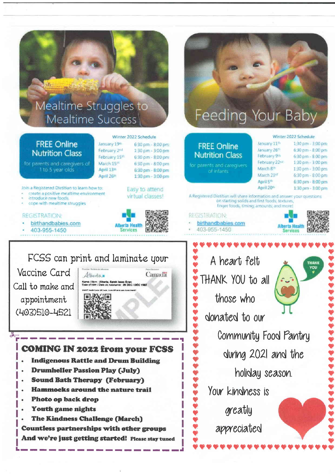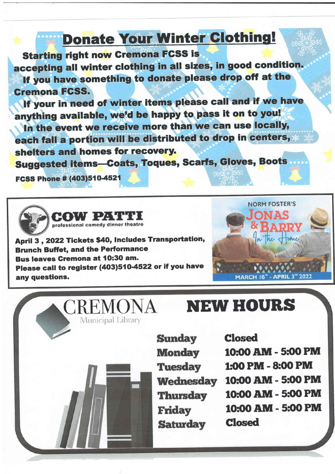## Donate Your Winter Clothing!

Starting right now Gremona FGSS is

accepting all winter clothing in all sizes, in good condition. lf you have something to donate please drop off at the Gremona FGSS.

lf your in need of winter items please call and if we have anything available, we'd be happy to pass it on to you!

In the event we receive more than we can use locally, each fall a portion will be distributed to drop in centers, shelters and homes for recovery.

Suggested items-Coats, Toques, Scarfs, Gloves, Boots

FCSS Phone # (403)510-4521



April 3, 2022 Tickets \$40, Includes Transportation, Brunch Buffet, and the Performance Bus leaves Cremona at 10:30 am. Please call to register (403)510-4522 or if you have any questions.



# CREMONA NEW HOURS

**Sunday Monday Tuesday Wednesday Thursday Friday Saturday** 

Closed

10:00 AM - 5:00 PM 1:00 PM - 8:00 PM 10:00 AM - 5:00 PM 10:00 AM - 5:00 PM 10:00 AM - 5:00 PM Closed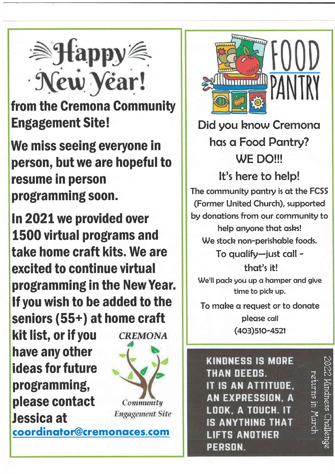

from the Gremona Gommunity Engagement Site!

We miss seeing everyone in person, but we are hopeful to resume in person programming soon.

1n2021 we provided over 1500 virtual programs and take home craft kits. We are excited to continue virtual programming in the New Year. lf you wish to be added to the seniors (55+) at home craft kit list, or if you CREMONA have any other ideas for future programming, please contact Community **Engagement Site** Jessica at coordinator@cremonaces.com



## Did you know Cremona has a Food Pantry? WE DO!!!

It's here to help!

The community pantry is at the FCSS (Former United Church), supported by donations from our community to help anyone that asks! We stock non-perishable foods.

> To qualify-just call that's it!

We'll pack you up a hamper and give time to pick up.

To make a request or to donate pleose coll (403)510-4521

**KINDNESS IS MORE** THAN DEEDS. IT IS AN ATTITUDE, AN EXPRESSION. A LOOK. A TOUCH. IT **IS ANYTHING THAT LIFTS ANOTHER** PERSON.